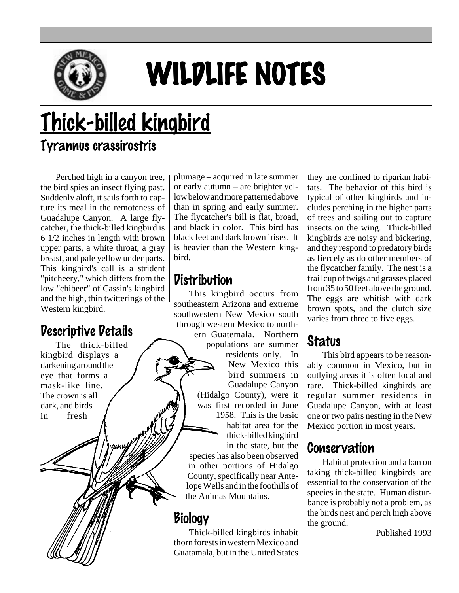

# WILDLIFE NOTES

## Thick-billed kingbird

#### Tyrannus crassirostris

Perched high in a canyon tree, the bird spies an insect flying past. Suddenly aloft, it sails forth to capture its meal in the remoteness of Guadalupe Canyon. A large flycatcher, the thick-billed kingbird is 6 1/2 inches in length with brown upper parts, a white throat, a gray breast, and pale yellow under parts. This kingbird's call is a strident "pitcheery," which differs from the low "chibeer" of Cassin's kingbird and the high, thin twitterings of the Western kingbird.

### Descriptive Details

The thick-billed kingbird displays a darkening around the eye that forms a mask-like line. The crown is all dark, and birds in fresh

plumage – acquired in late summer or early autumn – are brighter yellow below and more patterned above than in spring and early summer. The flycatcher's bill is flat, broad, and black in color. This bird has black feet and dark brown irises. It is heavier than the Western kingbird.

### **Distribution**

This kingbird occurs from southeastern Arizona and extreme southwestern New Mexico south through western Mexico to northern Guatemala. Northern populations are summer residents only. In New Mexico this bird summers in Guadalupe Canyon (Hidalgo County), were it was first recorded in June 1958. This is the basic habitat area for the thick-billed kingbird in the state, but the species has also been observed in other portions of Hidalgo County, specifically near Antelope Wells and in the foothills of the Animas Mountains.

### Biology

Thick-billed kingbirds inhabit thorn forests in western Mexico and Guatamala, but in the United States they are confined to riparian habitats. The behavior of this bird is typical of other kingbirds and includes perching in the higher parts of trees and sailing out to capture insects on the wing. Thick-billed kingbirds are noisy and bickering, and they respond to predatory birds as fiercely as do other members of the flycatcher family. The nest is a frail cup of twigs and grasses placed from 35 to 50 feet above the ground. The eggs are whitish with dark brown spots, and the clutch size varies from three to five eggs.

### **Status**

This bird appears to be reasonably common in Mexico, but in outlying areas it is often local and rare. Thick-billed kingbirds are regular summer residents in Guadalupe Canyon, with at least one or two pairs nesting in the New Mexico portion in most years.

#### Conservation

Habitat protection and a ban on taking thick-billed kingbirds are essential to the conservation of the species in the state. Human disturbance is probably not a problem, as the birds nest and perch high above the ground.

Published 1993